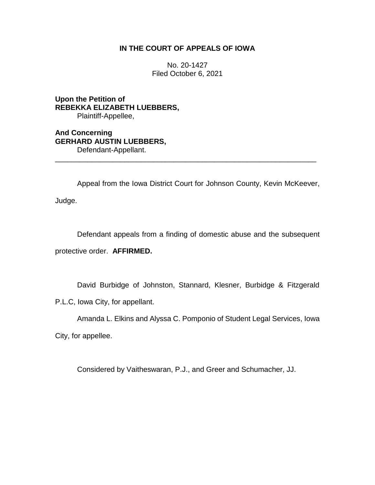# **IN THE COURT OF APPEALS OF IOWA**

No. 20-1427 Filed October 6, 2021

**Upon the Petition of REBEKKA ELIZABETH LUEBBERS,** Plaintiff-Appellee,

**And Concerning GERHARD AUSTIN LUEBBERS,** Defendant-Appellant.

Appeal from the Iowa District Court for Johnson County, Kevin McKeever,

\_\_\_\_\_\_\_\_\_\_\_\_\_\_\_\_\_\_\_\_\_\_\_\_\_\_\_\_\_\_\_\_\_\_\_\_\_\_\_\_\_\_\_\_\_\_\_\_\_\_\_\_\_\_\_\_\_\_\_\_\_\_\_\_

Judge.

Defendant appeals from a finding of domestic abuse and the subsequent protective order. **AFFIRMED.**

David Burbidge of Johnston, Stannard, Klesner, Burbidge & Fitzgerald P.L.C, Iowa City, for appellant.

Amanda L. Elkins and Alyssa C. Pomponio of Student Legal Services, Iowa

City, for appellee.

Considered by Vaitheswaran, P.J., and Greer and Schumacher, JJ.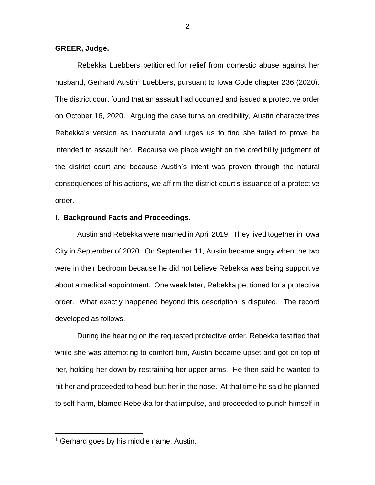## **GREER, Judge.**

Rebekka Luebbers petitioned for relief from domestic abuse against her husband, Gerhard Austin<sup>1</sup> Luebbers, pursuant to Iowa Code chapter 236 (2020). The district court found that an assault had occurred and issued a protective order on October 16, 2020. Arguing the case turns on credibility, Austin characterizes Rebekka's version as inaccurate and urges us to find she failed to prove he intended to assault her. Because we place weight on the credibility judgment of the district court and because Austin's intent was proven through the natural consequences of his actions, we affirm the district court's issuance of a protective order.

### **I. Background Facts and Proceedings.**

Austin and Rebekka were married in April 2019. They lived together in Iowa City in September of 2020. On September 11, Austin became angry when the two were in their bedroom because he did not believe Rebekka was being supportive about a medical appointment. One week later, Rebekka petitioned for a protective order. What exactly happened beyond this description is disputed. The record developed as follows.

During the hearing on the requested protective order, Rebekka testified that while she was attempting to comfort him, Austin became upset and got on top of her, holding her down by restraining her upper arms. He then said he wanted to hit her and proceeded to head-butt her in the nose. At that time he said he planned to self-harm, blamed Rebekka for that impulse, and proceeded to punch himself in

<sup>&</sup>lt;sup>1</sup> Gerhard goes by his middle name, Austin.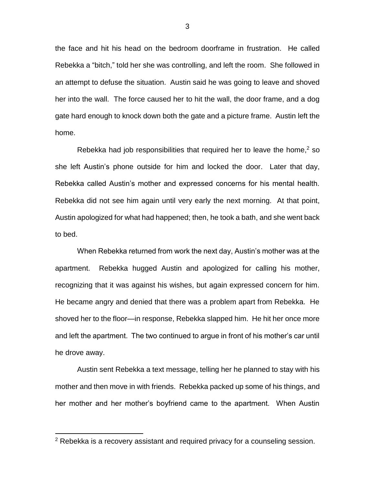the face and hit his head on the bedroom doorframe in frustration. He called Rebekka a "bitch," told her she was controlling, and left the room. She followed in an attempt to defuse the situation. Austin said he was going to leave and shoved her into the wall. The force caused her to hit the wall, the door frame, and a dog gate hard enough to knock down both the gate and a picture frame. Austin left the home.

Rebekka had job responsibilities that required her to leave the home, $2$  so she left Austin's phone outside for him and locked the door. Later that day, Rebekka called Austin's mother and expressed concerns for his mental health. Rebekka did not see him again until very early the next morning. At that point, Austin apologized for what had happened; then, he took a bath, and she went back to bed.

When Rebekka returned from work the next day, Austin's mother was at the apartment. Rebekka hugged Austin and apologized for calling his mother, recognizing that it was against his wishes, but again expressed concern for him. He became angry and denied that there was a problem apart from Rebekka. He shoved her to the floor—in response, Rebekka slapped him. He hit her once more and left the apartment. The two continued to argue in front of his mother's car until he drove away.

Austin sent Rebekka a text message, telling her he planned to stay with his mother and then move in with friends. Rebekka packed up some of his things, and her mother and her mother's boyfriend came to the apartment. When Austin

<sup>&</sup>lt;sup>2</sup> Rebekka is a recovery assistant and required privacy for a counseling session.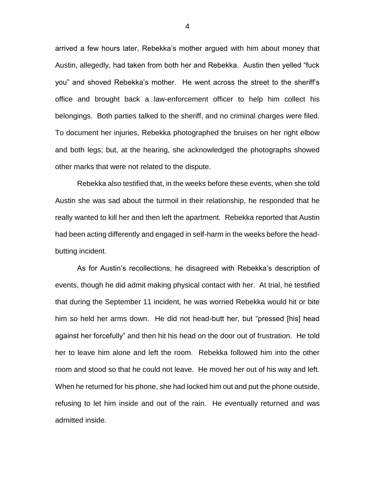arrived a few hours later, Rebekka's mother argued with him about money that Austin, allegedly, had taken from both her and Rebekka. Austin then yelled "fuck you" and shoved Rebekka's mother. He went across the street to the sheriff's office and brought back a law-enforcement officer to help him collect his belongings. Both parties talked to the sheriff, and no criminal charges were filed. To document her injuries, Rebekka photographed the bruises on her right elbow and both legs; but, at the hearing, she acknowledged the photographs showed other marks that were not related to the dispute.

Rebekka also testified that, in the weeks before these events, when she told Austin she was sad about the turmoil in their relationship, he responded that he really wanted to kill her and then left the apartment. Rebekka reported that Austin had been acting differently and engaged in self-harm in the weeks before the headbutting incident.

As for Austin's recollections, he disagreed with Rebekka's description of events, though he did admit making physical contact with her. At trial, he testified that during the September 11 incident, he was worried Rebekka would hit or bite him so held her arms down. He did not head-butt her, but "pressed [his] head against her forcefully" and then hit his head on the door out of frustration. He told her to leave him alone and left the room. Rebekka followed him into the other room and stood so that he could not leave. He moved her out of his way and left. When he returned for his phone, she had locked him out and put the phone outside, refusing to let him inside and out of the rain. He eventually returned and was admitted inside.

4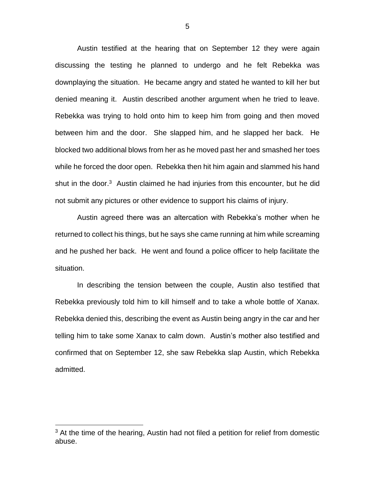Austin testified at the hearing that on September 12 they were again discussing the testing he planned to undergo and he felt Rebekka was downplaying the situation. He became angry and stated he wanted to kill her but denied meaning it. Austin described another argument when he tried to leave. Rebekka was trying to hold onto him to keep him from going and then moved between him and the door. She slapped him, and he slapped her back. He blocked two additional blows from her as he moved past her and smashed her toes while he forced the door open. Rebekka then hit him again and slammed his hand shut in the door.<sup>3</sup> Austin claimed he had injuries from this encounter, but he did not submit any pictures or other evidence to support his claims of injury.

Austin agreed there was an altercation with Rebekka's mother when he returned to collect his things, but he says she came running at him while screaming and he pushed her back. He went and found a police officer to help facilitate the situation.

In describing the tension between the couple, Austin also testified that Rebekka previously told him to kill himself and to take a whole bottle of Xanax. Rebekka denied this, describing the event as Austin being angry in the car and her telling him to take some Xanax to calm down. Austin's mother also testified and confirmed that on September 12, she saw Rebekka slap Austin, which Rebekka admitted.

 $3$  At the time of the hearing, Austin had not filed a petition for relief from domestic abuse.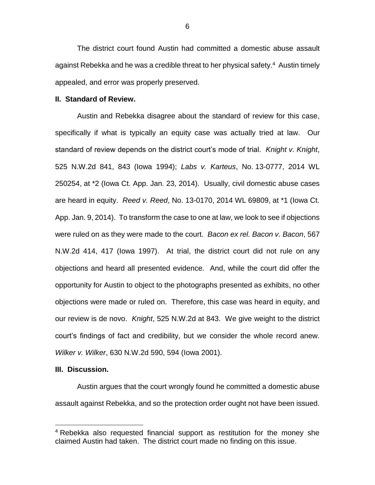The district court found Austin had committed a domestic abuse assault against Rebekka and he was a credible threat to her physical safety.<sup>4</sup> Austin timely appealed, and error was properly preserved.

#### **II. Standard of Review.**

Austin and Rebekka disagree about the standard of review for this case, specifically if what is typically an equity case was actually tried at law. Our standard of review depends on the district court's mode of trial. *Knight v. Knight*, 525 N.W.2d 841, 843 (Iowa 1994); *Labs v. Karteus*, No. 13-0777, 2014 WL 250254, at \*2 (Iowa Ct. App. Jan. 23, 2014). Usually, civil domestic abuse cases are heard in equity. *Reed v. Reed*, No. 13-0170, 2014 WL 69809, at \*1 (Iowa Ct. App. Jan. 9, 2014). To transform the case to one at law, we look to see if objections were ruled on as they were made to the court. *Bacon ex rel. Bacon v. Bacon*, 567 N.W.2d 414, 417 (Iowa 1997). At trial, the district court did not rule on any objections and heard all presented evidence. And, while the court did offer the opportunity for Austin to object to the photographs presented as exhibits, no other objections were made or ruled on. Therefore, this case was heard in equity, and our review is de novo. *Knight*, 525 N.W.2d at 843. We give weight to the district court's findings of fact and credibility, but we consider the whole record anew. *Wilker v. Wilker*, 630 N.W.2d 590, 594 (Iowa 2001).

## **III. Discussion.**

 $\overline{a}$ 

Austin argues that the court wrongly found he committed a domestic abuse assault against Rebekka, and so the protection order ought not have been issued.

6

<sup>4</sup> Rebekka also requested financial support as restitution for the money she claimed Austin had taken. The district court made no finding on this issue.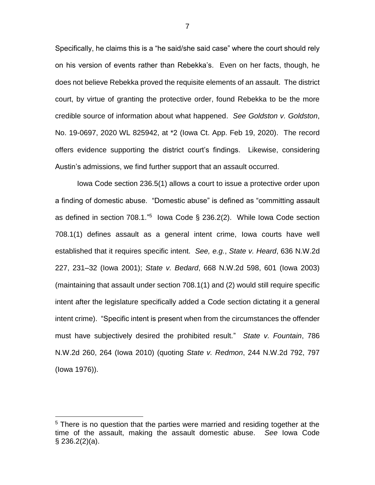Specifically, he claims this is a "he said/she said case" where the court should rely on his version of events rather than Rebekka's. Even on her facts, though, he does not believe Rebekka proved the requisite elements of an assault. The district court, by virtue of granting the protective order, found Rebekka to be the more credible source of information about what happened. *See Goldston v. Goldston*, No. 19-0697, 2020 WL 825942, at \*2 (Iowa Ct. App. Feb 19, 2020). The record offers evidence supporting the district court's findings. Likewise, considering Austin's admissions, we find further support that an assault occurred.

Iowa Code section 236.5(1) allows a court to issue a protective order upon a finding of domestic abuse. "Domestic abuse" is defined as "committing assault as defined in section  $708.1.^{"5}$  lowa Code § 236.2(2). While lowa Code section 708.1(1) defines assault as a general intent crime, Iowa courts have well established that it requires specific intent. *See, e.g.*, *State v. Heard*, 636 N.W.2d 227, 231–32 (Iowa 2001); *State v. Bedard*, 668 N.W.2d 598, 601 (Iowa 2003) (maintaining that assault under section 708.1(1) and (2) would still require specific intent after the legislature specifically added a Code section dictating it a general intent crime). "Specific intent is present when from the circumstances the offender must have subjectively desired the prohibited result." *State v. Fountain*, 786 N.W.2d 260, 264 (Iowa 2010) (quoting *State v. Redmon*, 244 N.W.2d 792, 797 (Iowa 1976)).

<sup>&</sup>lt;sup>5</sup> There is no question that the parties were married and residing together at the time of the assault, making the assault domestic abuse. *See* Iowa Code  $\S$  236.2(2)(a).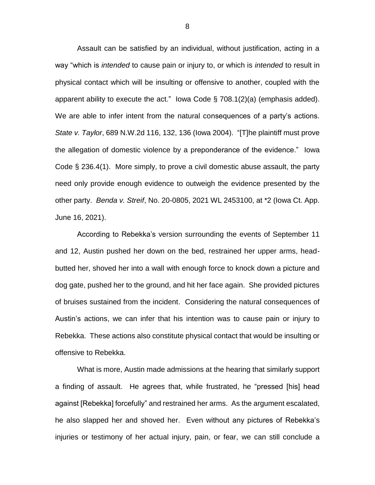Assault can be satisfied by an individual, without justification, acting in a way "which is *intended* to cause pain or injury to, or which is *intended* to result in physical contact which will be insulting or offensive to another, coupled with the apparent ability to execute the act." Iowa Code  $\S$  708.1(2)(a) (emphasis added). We are able to infer intent from the natural consequences of a party's actions. *State v. Taylor*, 689 N.W.2d 116, 132, 136 (Iowa 2004). "[T]he plaintiff must prove the allegation of domestic violence by a preponderance of the evidence." Iowa Code § 236.4(1). More simply, to prove a civil domestic abuse assault, the party need only provide enough evidence to outweigh the evidence presented by the other party. *Benda v. Streif*, No. 20-0805, 2021 WL 2453100, at \*2 (Iowa Ct. App. June 16, 2021).

According to Rebekka's version surrounding the events of September 11 and 12, Austin pushed her down on the bed, restrained her upper arms, headbutted her, shoved her into a wall with enough force to knock down a picture and dog gate, pushed her to the ground, and hit her face again. She provided pictures of bruises sustained from the incident. Considering the natural consequences of Austin's actions, we can infer that his intention was to cause pain or injury to Rebekka. These actions also constitute physical contact that would be insulting or offensive to Rebekka.

What is more, Austin made admissions at the hearing that similarly support a finding of assault. He agrees that, while frustrated, he "pressed [his] head against [Rebekka] forcefully" and restrained her arms. As the argument escalated, he also slapped her and shoved her. Even without any pictures of Rebekka's injuries or testimony of her actual injury, pain, or fear, we can still conclude a

8